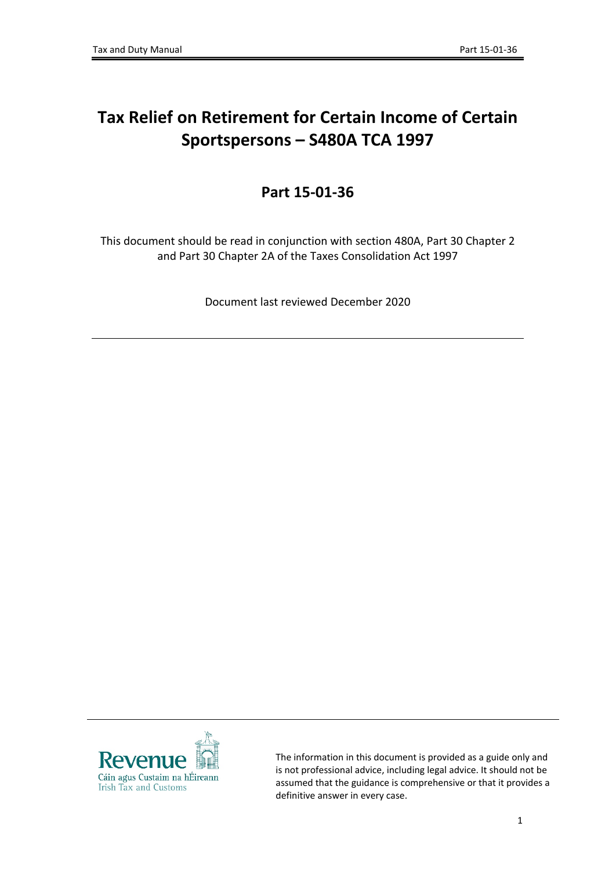# **Tax Relief on Retirement for Certain Income of Certain Sportspersons – S480A TCA 1997**

## **Part 15-01-36**

This document should be read in conjunction with section 480A, Part 30 Chapter 2 and Part 30 Chapter 2A of the Taxes Consolidation Act 1997

Document last reviewed December 2020



The information in this document is provided as a guide only and is not professional advice, including legal advice. It should not be assumed that the guidance is comprehensive or that it provides a definitive answer in every case.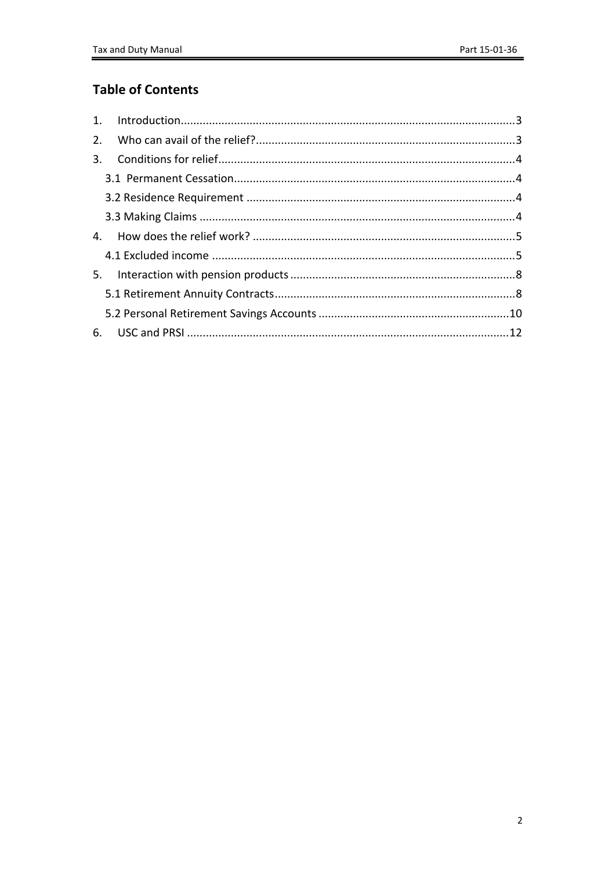## **Table of Contents**

| 2. |  |
|----|--|
|    |  |
|    |  |
|    |  |
|    |  |
|    |  |
|    |  |
|    |  |
|    |  |
|    |  |
|    |  |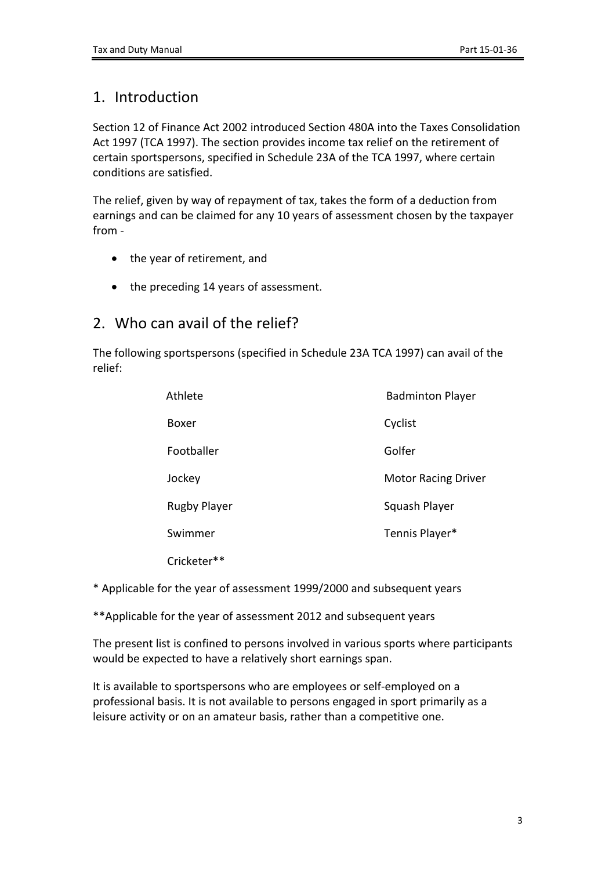## <span id="page-2-0"></span>1. Introduction

Section 12 of Finance Act 2002 introduced Section 480A into the Taxes Consolidation Act 1997 (TCA 1997). The section provides income tax relief on the retirement of certain sportspersons, specified in Schedule 23A of the TCA 1997, where certain conditions are satisfied.

The relief, given by way of repayment of tax, takes the form of a deduction from earnings and can be claimed for any 10 years of assessment chosen by the taxpayer from -

- the year of retirement, and
- the preceding 14 years of assessment.

### <span id="page-2-1"></span>2. Who can avail of the relief?

The following sportspersons (specified in Schedule 23A TCA 1997) can avail of the relief:

| Athlete             | <b>Badminton Player</b>    |
|---------------------|----------------------------|
| Boxer               | Cyclist                    |
| Footballer          | Golfer                     |
| Jockey              | <b>Motor Racing Driver</b> |
| <b>Rugby Player</b> | Squash Player              |
| Swimmer             | Tennis Player*             |
| Cricketer**         |                            |

\* Applicable for the year of assessment 1999/2000 and subsequent years

\*\*Applicable for the year of assessment 2012 and subsequent years

The present list is confined to persons involved in various sports where participants would be expected to have a relatively short earnings span.

It is available to sportspersons who are employees or self-employed on a professional basis. It is not available to persons engaged in sport primarily as a leisure activity or on an amateur basis, rather than a competitive one.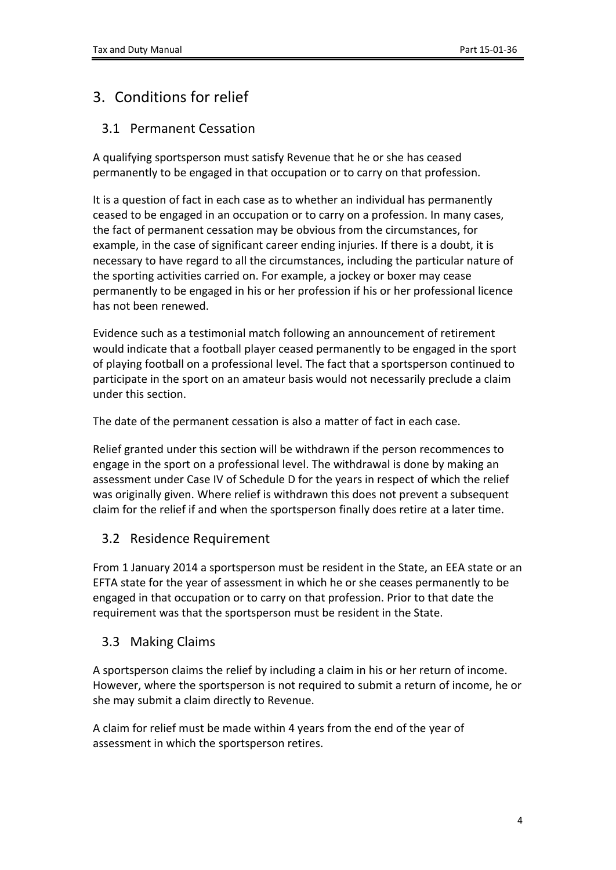## <span id="page-3-0"></span>3. Conditions for relief

### <span id="page-3-1"></span>3.1 Permanent Cessation

A qualifying sportsperson must satisfy Revenue that he or she has ceased permanently to be engaged in that occupation or to carry on that profession.

It is a question of fact in each case as to whether an individual has permanently ceased to be engaged in an occupation or to carry on a profession. In many cases, the fact of permanent cessation may be obvious from the circumstances, for example, in the case of significant career ending injuries. If there is a doubt, it is necessary to have regard to all the circumstances, including the particular nature of the sporting activities carried on. For example, a jockey or boxer may cease permanently to be engaged in his or her profession if his or her professional licence has not been renewed.

Evidence such as a testimonial match following an announcement of retirement would indicate that a football player ceased permanently to be engaged in the sport of playing football on a professional level. The fact that a sportsperson continued to participate in the sport on an amateur basis would not necessarily preclude a claim under this section.

The date of the permanent cessation is also a matter of fact in each case.

Relief granted under this section will be withdrawn if the person recommences to engage in the sport on a professional level. The withdrawal is done by making an assessment under Case IV of Schedule D for the years in respect of which the relief was originally given. Where relief is withdrawn this does not prevent a subsequent claim for the relief if and when the sportsperson finally does retire at a later time.

### <span id="page-3-2"></span>3.2 Residence Requirement

From 1 January 2014 a sportsperson must be resident in the State, an EEA state or an EFTA state for the year of assessment in which he or she ceases permanently to be engaged in that occupation or to carry on that profession. Prior to that date the requirement was that the sportsperson must be resident in the State.

### <span id="page-3-3"></span>3.3 Making Claims

A sportsperson claims the relief by including a claim in his or her return of income. However, where the sportsperson is not required to submit a return of income, he or she may submit a claim directly to Revenue.

A claim for relief must be made within 4 years from the end of the year of assessment in which the sportsperson retires.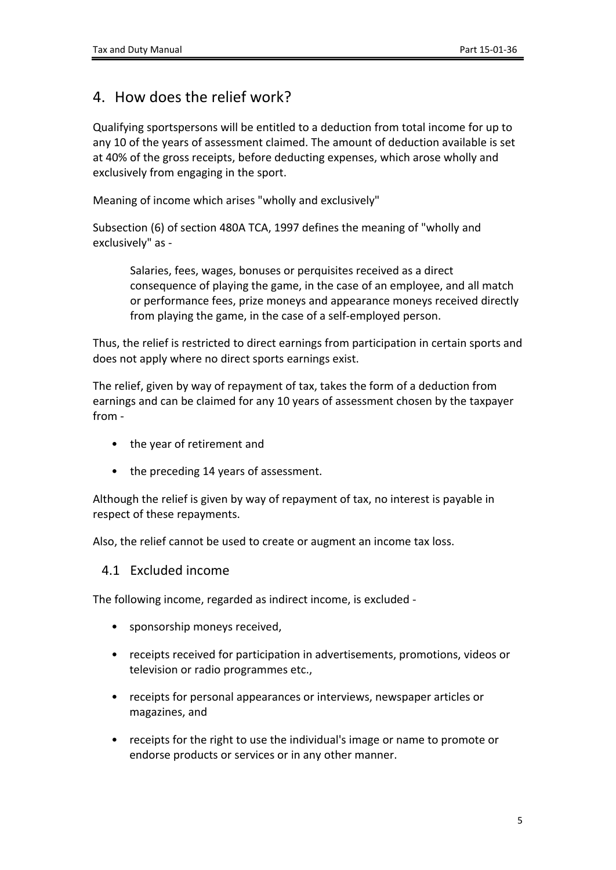### <span id="page-4-0"></span>4. How does the relief work?

Qualifying sportspersons will be entitled to a deduction from total income for up to any 10 of the years of assessment claimed. The amount of deduction available is set at 40% of the gross receipts, before deducting expenses, which arose wholly and exclusively from engaging in the sport.

Meaning of income which arises "wholly and exclusively"

Subsection (6) of section 480A TCA, 1997 defines the meaning of "wholly and exclusively" as -

Salaries, fees, wages, bonuses or perquisites received as a direct consequence of playing the game, in the case of an employee, and all match or performance fees, prize moneys and appearance moneys received directly from playing the game, in the case of a self-employed person.

Thus, the relief is restricted to direct earnings from participation in certain sports and does not apply where no direct sports earnings exist.

The relief, given by way of repayment of tax, takes the form of a deduction from earnings and can be claimed for any 10 years of assessment chosen by the taxpayer from -

- the year of retirement and
- the preceding 14 years of assessment.

Although the relief is given by way of repayment of tax, no interest is payable in respect of these repayments.

Also, the relief cannot be used to create or augment an income tax loss.

#### <span id="page-4-1"></span>4.1 Excluded income

The following income, regarded as indirect income, is excluded -

- sponsorship moneys received,
- receipts received for participation in advertisements, promotions, videos or television or radio programmes etc.,
- receipts for personal appearances or interviews, newspaper articles or magazines, and
- receipts for the right to use the individual's image or name to promote or endorse products or services or in any other manner.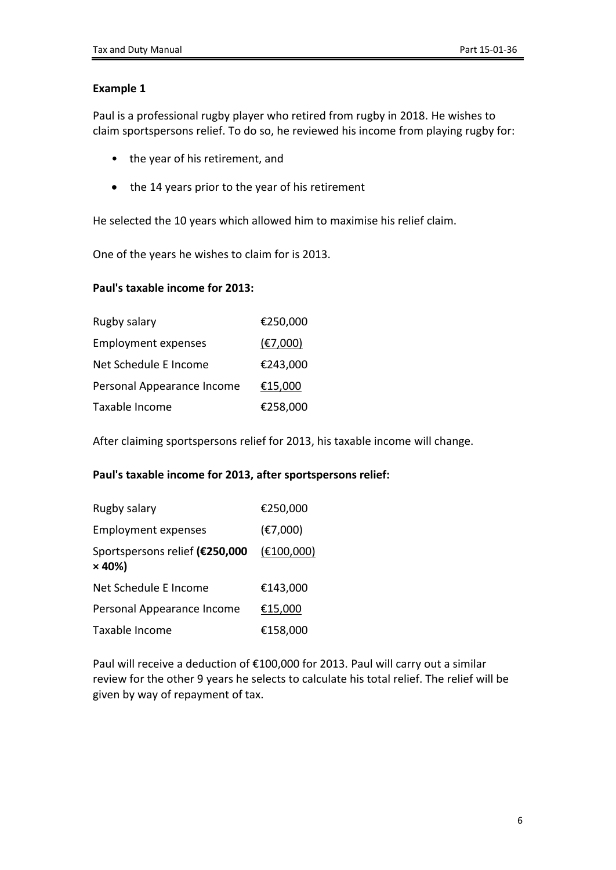Paul is a professional rugby player who retired from rugby in 2018. He wishes to claim sportspersons relief. To do so, he reviewed his income from playing rugby for:

- the year of his retirement, and
- the 14 years prior to the year of his retirement

He selected the 10 years which allowed him to maximise his relief claim.

One of the years he wishes to claim for is 2013.

#### **Paul's taxable income for 2013:**

| Rugby salary               | €250,000 |
|----------------------------|----------|
| <b>Employment expenses</b> | (E7,000) |
| Net Schedule E Income      | €243,000 |
| Personal Appearance Income | €15,000  |
| Taxable Income             | €258,000 |

After claiming sportspersons relief for 2013, his taxable income will change.

#### **Paul's taxable income for 2013, after sportspersons relief:**

| Rugby salary                                    | €250,000   |
|-------------------------------------------------|------------|
| <b>Employment expenses</b>                      | (E7,000)   |
| Sportspersons relief (€250,000<br>$\times$ 40%) | (E100,000) |
| Net Schedule E Income                           | €143,000   |
| Personal Appearance Income                      | €15,000    |
| Taxable Income                                  | €158,000   |

Paul will receive a deduction of €100,000 for 2013. Paul will carry out a similar review for the other 9 years he selects to calculate his total relief. The relief will be given by way of repayment of tax.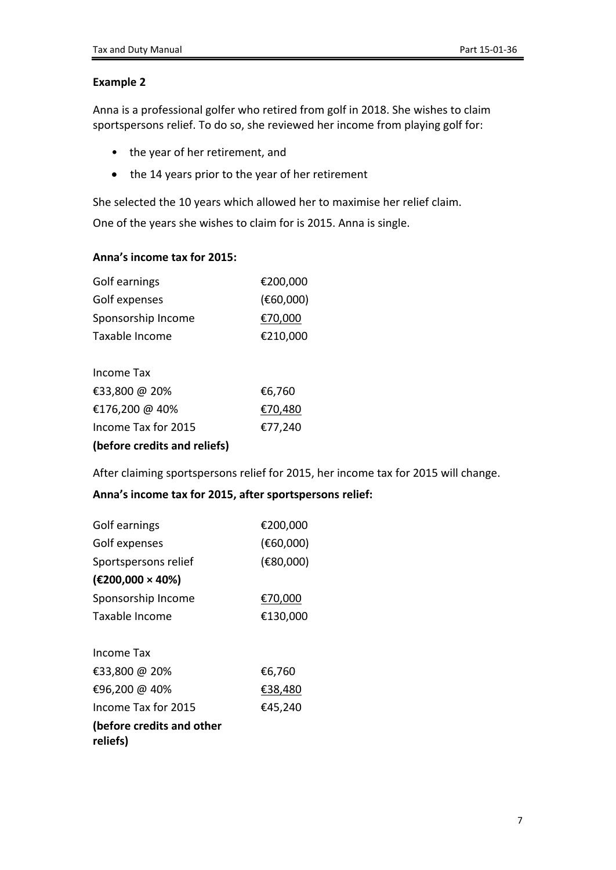Anna is a professional golfer who retired from golf in 2018. She wishes to claim sportspersons relief. To do so, she reviewed her income from playing golf for:

- the year of her retirement, and
- the 14 years prior to the year of her retirement

She selected the 10 years which allowed her to maximise her relief claim.

One of the years she wishes to claim for is 2015. Anna is single.

#### **Anna's income tax for 2015:**

| Golf earnings      | €200,000  |
|--------------------|-----------|
| Golf expenses      | (E60,000) |
| Sponsorship Income | €70,000   |
| Taxable Income     | €210,000  |

| (before credits and reliefs) |         |
|------------------------------|---------|
| Income Tax for 2015          | €77,240 |
| €176,200 @ 40%               | €70,480 |
| €33,800 @ 20%                | €6,760  |
| Income Tax                   |         |

After claiming sportspersons relief for 2015, her income tax for 2015 will change.

#### **Anna's income tax for 2015, after sportspersons relief:**

| Golf earnings                         | €200,000  |
|---------------------------------------|-----------|
| Golf expenses                         | (E60,000) |
| Sportspersons relief                  | (E80,000) |
| (E200,000 × 40%)                      |           |
| Sponsorship Income                    | €70,000   |
| Taxable Income                        | €130,000  |
| Income Tax                            |           |
| €33,800 @ 20%                         | €6,760    |
| €96,200 @ 40%                         | €38,480   |
| Income Tax for 2015                   | €45,240   |
| (before credits and other<br>reliefs) |           |
|                                       |           |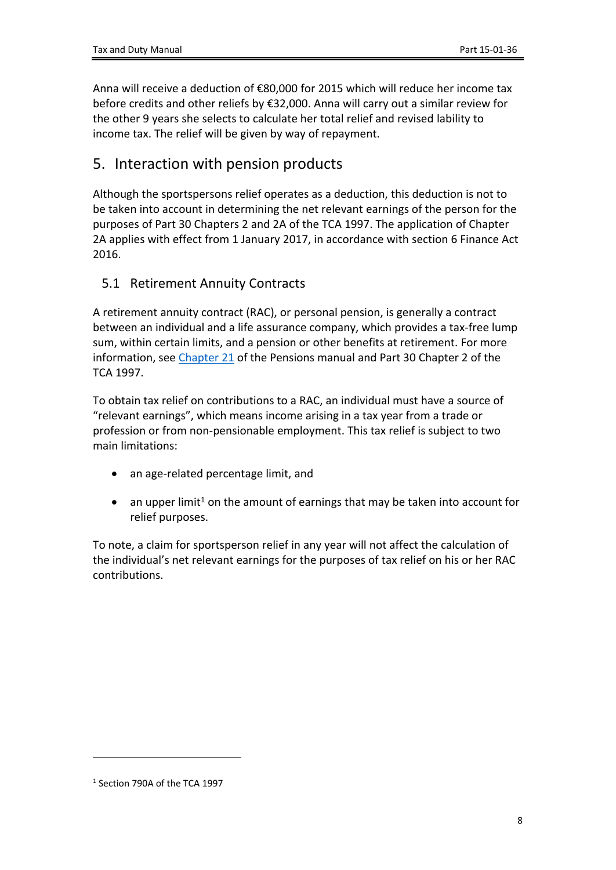Anna will receive a deduction of €80,000 for 2015 which will reduce her income tax before credits and other reliefs by €32,000. Anna will carry out a similar review for the other 9 years she selects to calculate her total relief and revised lability to income tax. The relief will be given by way of repayment.

### <span id="page-7-0"></span>5. Interaction with pension products

Although the sportspersons relief operates as a deduction, this deduction is not to be taken into account in determining the net relevant earnings of the person for the purposes of Part 30 Chapters 2 and 2A of the TCA 1997. The application of Chapter 2A applies with effect from 1 January 2017, in accordance with section 6 Finance Act 2016.

### <span id="page-7-1"></span>5.1 Retirement Annuity Contracts

A retirement annuity contract (RAC), or personal pension, is generally a contract between an individual and a life assurance company, which provides a tax-free lump sum, within certain limits, and a pension or other benefits at retirement. For more information, see [Chapter](https://www.revenue.ie/en/tax-professionals/tdm/pensions/chapter-21.pdf) [21](https://www.revenue.ie/en/tax-professionals/tdm/pensions/chapter-21.pdf) of the Pensions manual and Part 30 Chapter 2 of the TCA 1997.

To obtain tax relief on contributions to a RAC, an individual must have a source of "relevant earnings", which means income arising in a tax year from a trade or profession or from non-pensionable employment. This tax relief is subject to two main limitations:

- an age-related percentage limit, and
- an upper limit<sup>1</sup> on the amount of earnings that may be taken into account for relief purposes.

To note, a claim for sportsperson relief in any year will not affect the calculation of the individual's net relevant earnings for the purposes of tax relief on his or her RAC contributions.

<sup>1</sup> Section 790A of the TCA 1997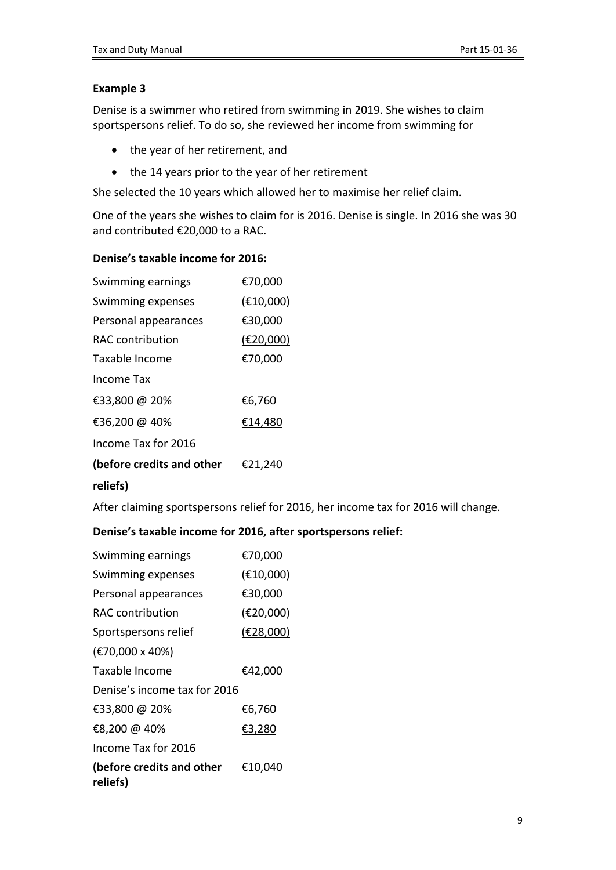Denise is a swimmer who retired from swimming in 2019. She wishes to claim sportspersons relief. To do so, she reviewed her income from swimming for

- the year of her retirement, and
- the 14 years prior to the year of her retirement

She selected the 10 years which allowed her to maximise her relief claim.

One of the years she wishes to claim for is 2016. Denise is single. In 2016 she was 30 and contributed €20,000 to a RAC.

#### **Denise's taxable income for 2016:**

| Swimming earnings         | €70,000   |
|---------------------------|-----------|
| Swimming expenses         | (E10,000) |
| Personal appearances      | €30,000   |
| RAC contribution          | (E20,000) |
| Taxable Income            | €70,000   |
| Income Tax                |           |
| €33,800 @ 20%             | €6,760    |
| €36,200 @ 40%             | €14,480   |
| Income Tax for 2016       |           |
| (before credits and other | €21,240   |
| reliefs)                  |           |

After claiming sportspersons relief for 2016, her income tax for 2016 will change.

#### **Denise's taxable income for 2016, after sportspersons relief:**

| Swimming earnings                     | €70,000   |  |
|---------------------------------------|-----------|--|
| Swimming expenses                     | (E10,000) |  |
| Personal appearances                  | €30,000   |  |
| RAC contribution                      | (€20,000) |  |
| Sportspersons relief                  | (E28,000) |  |
| (€70,000 x 40%)                       |           |  |
| Taxable Income                        | €42,000   |  |
| Denise's income tax for 2016          |           |  |
| €33,800 @ 20%                         | €6,760    |  |
| €8,200 @ 40%                          | €3,280    |  |
| Income Tax for 2016                   |           |  |
| (before credits and other<br>reliefs) | €10,040   |  |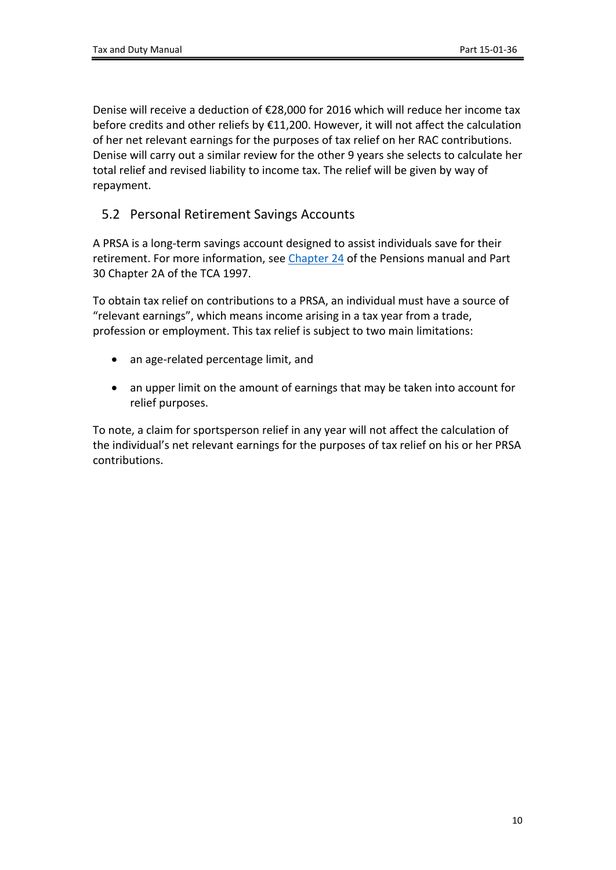Denise will receive a deduction of €28,000 for 2016 which will reduce her income tax before credits and other reliefs by €11,200. However, it will not affect the calculation of her net relevant earnings for the purposes of tax relief on her RAC contributions. Denise will carry out a similar review for the other 9 years she selects to calculate her total relief and revised liability to income tax. The relief will be given by way of repayment.

### <span id="page-9-0"></span>5.2 Personal Retirement Savings Accounts

A PRSA is a long-term savings account designed to assist individuals save for their retirement. For more information, see [Chapter](https://www.revenue.ie/en/tax-professionals/tdm/pensions/chapter-24.pdf) [24](https://www.revenue.ie/en/tax-professionals/tdm/pensions/chapter-24.pdf) of the Pensions manual and Part 30 Chapter 2A of the TCA 1997.

To obtain tax relief on contributions to a PRSA, an individual must have a source of "relevant earnings", which means income arising in a tax year from a trade, profession or employment. This tax relief is subject to two main limitations:

- an age-related percentage limit, and
- an upper limit on the amount of earnings that may be taken into account for relief purposes.

To note, a claim for sportsperson relief in any year will not affect the calculation of the individual's net relevant earnings for the purposes of tax relief on his or her PRSA contributions.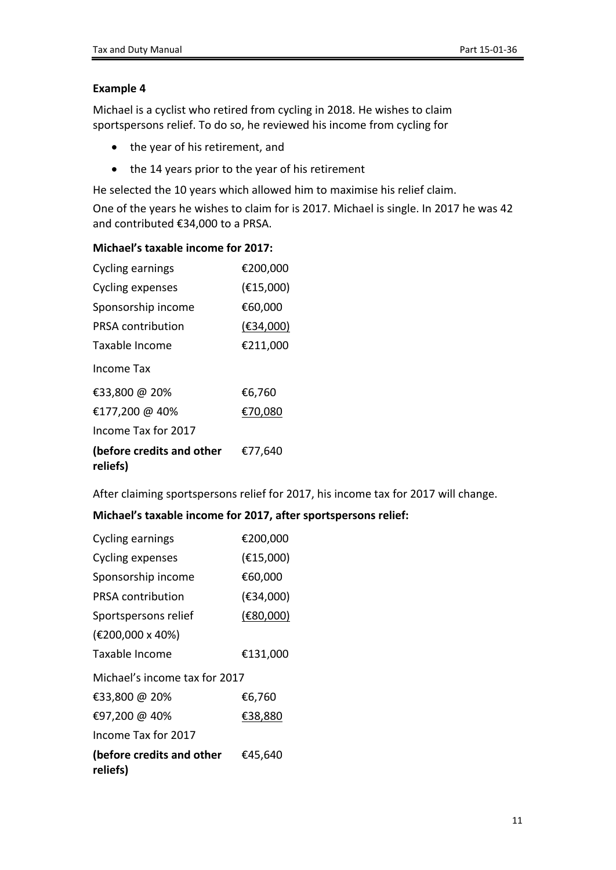Michael is a cyclist who retired from cycling in 2018. He wishes to claim sportspersons relief. To do so, he reviewed his income from cycling for

- the year of his retirement, and
- the 14 years prior to the year of his retirement

He selected the 10 years which allowed him to maximise his relief claim.

One of the years he wishes to claim for is 2017. Michael is single. In 2017 he was 42 and contributed €34,000 to a PRSA.

#### **Michael's taxable income for 2017:**

| Cycling earnings                      | €200,000  |
|---------------------------------------|-----------|
| Cycling expenses                      | (E15,000) |
| Sponsorship income                    | €60,000   |
| PRSA contribution                     | (E34,000) |
| Taxable Income                        | €211,000  |
| Income Tax                            |           |
| €33,800 @ 20%                         | €6,760    |
| €177,200 @ 40%                        | €70,080   |
| Income Tax for 2017                   |           |
| (before credits and other<br>reliefs) | €77,640   |

After claiming sportspersons relief for 2017, his income tax for 2017 will change.

#### **Michael's taxable income for 2017, after sportspersons relief:**

| Cycling earnings                      | €200,000  |  |
|---------------------------------------|-----------|--|
| Cycling expenses                      | (E15,000) |  |
| Sponsorship income                    | €60,000   |  |
| <b>PRSA contribution</b>              | (E34,000) |  |
| Sportspersons relief                  | (E80,000) |  |
| (€200,000 x 40%)                      |           |  |
| Taxable Income                        | €131,000  |  |
| Michael's income tax for 2017         |           |  |
| €33,800 @ 20%                         | €6,760    |  |
| €97,200 @ 40%                         | €38,880   |  |
| Income Tax for 2017                   |           |  |
| (before credits and other<br>reliefs) | €45,640   |  |